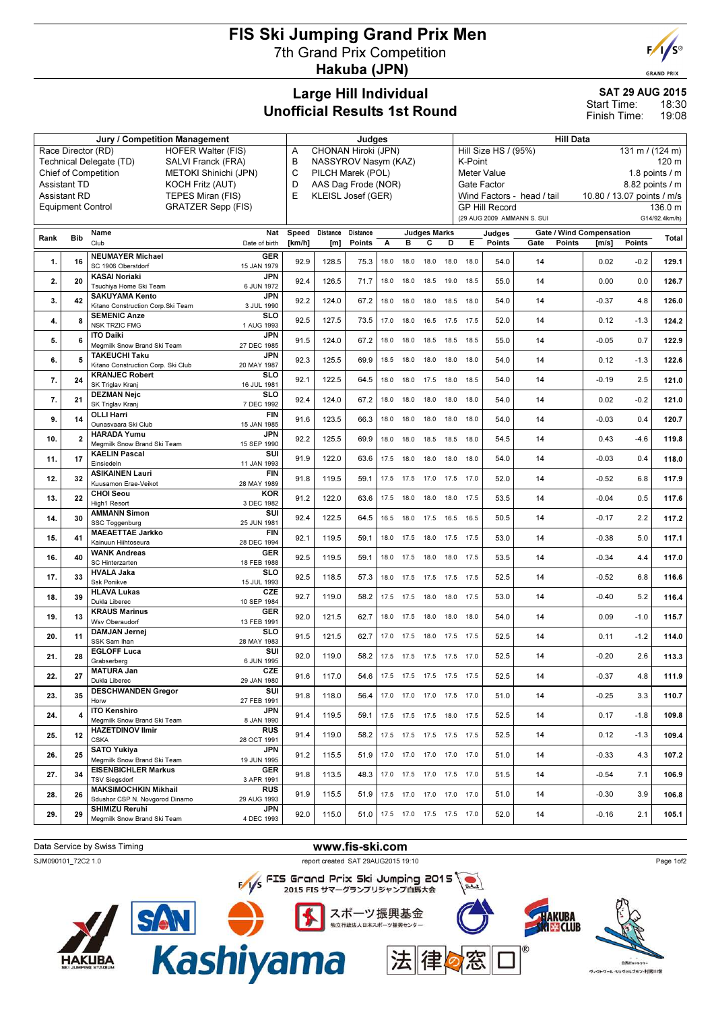## FIS Ski Jumping Grand Prix Men 7th Grand Prix Competition Hakuba (JPN)



### SAT 29 AUG 2015 18:30 Start Time:

19:08 Finish Time:

|                                                                                                        |                          | Jury / Competition Management                                             |                   | Judges                                         |          |      |           |                              |      | <b>Hill Data</b>                                                                           |                       |                            |                 |        |               |  |
|--------------------------------------------------------------------------------------------------------|--------------------------|---------------------------------------------------------------------------|-------------------|------------------------------------------------|----------|------|-----------|------------------------------|------|--------------------------------------------------------------------------------------------|-----------------------|----------------------------|-----------------|--------|---------------|--|
| <b>HOFER Walter (FIS)</b><br>Race Director (RD)                                                        |                          |                                                                           |                   | CHONAN Hiroki (JPN)<br>Α                       |          |      |           |                              |      | Hill Size HS / (95%)<br>131 m / (124 m)                                                    |                       |                            |                 |        |               |  |
| Technical Delegate (TD)<br>SALVI Franck (FRA)                                                          |                          |                                                                           |                   | B<br>NASSYROV Nasym (KAZ)<br>C                 |          |      |           |                              |      | K-Point<br>120 m                                                                           |                       |                            |                 |        |               |  |
| <b>Chief of Competition</b><br>METOKI Shinichi (JPN)<br><b>Assistant TD</b><br><b>KOCH Fritz (AUT)</b> |                          |                                                                           |                   | PILCH Marek (POL)                              |          |      |           |                              |      | 1.8 points $/m$<br>Meter Value                                                             |                       |                            |                 |        |               |  |
|                                                                                                        | <b>Assistant RD</b>      | TEPES Miran (FIS)                                                         | E                 | D<br>AAS Dag Frode (NOR)<br>KLEISL Josef (GER) |          |      |           |                              |      | Gate Factor<br>8.82 points / m<br>Wind Factors - head / tail<br>10.80 / 13.07 points / m/s |                       |                            |                 |        |               |  |
|                                                                                                        | <b>Equipment Control</b> | <b>GRATZER Sepp (FIS)</b>                                                 |                   |                                                |          |      |           |                              |      |                                                                                            | <b>GP Hill Record</b> |                            |                 |        | 136.0 m       |  |
|                                                                                                        |                          |                                                                           |                   |                                                |          |      |           |                              |      |                                                                                            |                       | (29 AUG 2009 AMMANN S. SUI |                 |        | G14/92.4km/h) |  |
|                                                                                                        |                          | Name                                                                      | Nat<br>Speed      | Distance                                       | Distance |      |           | <b>Judges Marks</b>          |      |                                                                                            | Judges                | Gate / Wind Compensation   |                 |        |               |  |
| Rank                                                                                                   | <b>Bib</b>               | Club<br>Date of birth                                                     | [km/h]            | [m]                                            | Points   | А    | в         | С                            | D    | Е.                                                                                         | Points                | Points<br>Gate             | $\mathsf{Im/s}$ | Points | Total         |  |
| 1.                                                                                                     | 16                       | <b>NEUMAYER Michael</b><br>SC 1906 Oberstdorf<br>15 JAN 1979              | <b>GER</b>        | 92.9<br>128.5                                  | 75.3     | 18.0 | 18.0      | 18.0                         | 18.0 | 18.0                                                                                       | 54.0                  | 14                         | 0.02            | $-0.2$ | 129.1         |  |
| 2.                                                                                                     | 20                       | <b>KASAI Noriaki</b><br>Tsuchiya Home Ski Team<br>6 JUN 1972              | JPN               | 92.4<br>126.5                                  | 71.7     | 18.0 | 18.0      | 18.5                         | 19.0 | 18.5                                                                                       | 55.0                  | 14                         | 0.00            | 0.0    | 126.7         |  |
| 3.                                                                                                     | 42                       | <b>SAKUYAMA Kento</b><br>Kitano Construction Corp. Ski Team<br>3 JUL 1990 | <b>JPN</b>        | 92.2<br>124.0                                  | 67.2     | 18.0 | 18.0      | 18.0                         | 18.5 | 18.0                                                                                       | 54.0                  | 14                         | $-0.37$         | 4.8    | 126.0         |  |
| 4.                                                                                                     | 8                        | <b>SEMENIC Anze</b><br><b>NSK TRZIC FMG</b><br>1 AUG 1993                 | SLO               | 92.5<br>127.5                                  | 73.5     |      | 17.0 18.0 | 16.5                         | 17.5 | 17.5                                                                                       | 52.0                  | 14                         | 0.12            | $-1.3$ | 124.2         |  |
| 5.                                                                                                     | 6                        | <b>ITO Daiki</b><br>Megmilk Snow Brand Ski Team<br>27 DEC 1985            | JPN               | 91.5<br>124.0                                  | 67.2     | 18.0 | 18.0      | 18.5                         | 18.5 | 18.5                                                                                       | 55.0                  | 14                         | $-0.05$         | 0.7    | 122.9         |  |
| 6.                                                                                                     | 5                        | <b>TAKEUCHI Taku</b><br>Kitano Construction Corp. Ski Club<br>20 MAY 1987 | <b>JPN</b>        | 92.3<br>125.5                                  | 69.9     |      | 18.5 18.0 | 18.0                         | 18.0 | 18.0                                                                                       | 54.0                  | 14                         | 0.12            | $-1.3$ | 122.6         |  |
| 7.                                                                                                     | 24                       | <b>KRANJEC Robert</b><br>SK Triglav Kranj<br>16 JUL 1981                  | SLO               | 92.1<br>122.5                                  | 64.5     | 18.0 | 18.0      | 17.5                         | 18.0 | 18.5                                                                                       | 54.0                  | 14                         | $-0.19$         | 2.5    | 121.0         |  |
| 7.                                                                                                     | 21                       | <b>DEZMAN Neic</b><br>SK Triglav Kranj<br>7 DEC 1992                      | SLO               | 92.4<br>124.0                                  | 67.2     |      | 18.0 18.0 | 18.0                         | 18.0 | 18.0                                                                                       | 54.0                  | 14                         | 0.02            | $-0.2$ | 121.0         |  |
| 9.                                                                                                     | 14                       | <b>OLLI Harri</b><br>15 JAN 1985<br>Ounasvaara Ski Club                   | <b>FIN</b>        | 91.6<br>123.5                                  | 66.3     | 18.0 | 18.0      | 18.0                         | 18.0 | 18.0                                                                                       | 54.0                  | 14                         | $-0.03$         | 0.4    | 120.7         |  |
| 10.                                                                                                    | $\overline{2}$           | <b>HARADA Yumu</b><br>Megmilk Snow Brand Ski Team<br>15 SEP 1990          | <b>JPN</b>        | 92.2<br>125.5                                  | 69.9     |      | 18.0 18.0 | 18.5                         | 18.5 | 18.0                                                                                       | 54.5                  | 14                         | 0.43            | $-4.6$ | 119.8         |  |
| 11.                                                                                                    | 17                       | <b>KAELIN Pascal</b><br>Einsiedeln<br>11 JAN 1993                         | SUI               | 91.9<br>122.0                                  | 63.6     |      | 17.5 18.0 | 18.0                         | 18.0 | 18.0                                                                                       | 54.0                  | 14                         | $-0.03$         | 0.4    | 118.0         |  |
| 12.                                                                                                    | 32                       | <b>ASIKAINEN Lauri</b><br>Kuusamon Erae-Veikot<br>28 MAY 1989             | <b>FIN</b>        | 91.8<br>119.5                                  | 59.1     |      |           | 17.5 17.5 17.0 17.5 17.0     |      |                                                                                            | 52.0                  | 14                         | $-0.52$         | 6.8    | 117.9         |  |
| 13.                                                                                                    | 22                       | <b>CHOI Seou</b><br>High1 Resort<br>3 DEC 1982<br><b>AMMANN Simon</b>     | <b>KOR</b><br>SUI | 91.2<br>122.0                                  | 63.6     |      | 17.5 18.0 | 18.0                         | 18.0 | 17.5                                                                                       | 53.5                  | 14                         | $-0.04$         | 0.5    | 117.6         |  |
| 14.                                                                                                    | 30                       | SSC Toggenburg<br>25 JUN 1981<br><b>MAEAETTAE Jarkko</b>                  | <b>FIN</b>        | 92.4<br>122.5                                  | 64.5     |      | 16.5 18.0 | 17.5                         | 16.5 | 16.5                                                                                       | 50.5                  | 14                         | $-0.17$         | 2.2    | 117.2         |  |
| 15.                                                                                                    | 41                       | Kainuun Hiihtoseura<br>28 DEC 1994<br><b>WANK Andreas</b>                 | <b>GER</b>        | 92.1<br>119.5                                  | 59.1     |      | 18.0 17.5 | 18.0                         |      | 17.5 17.5                                                                                  | 53.0                  | 14                         | $-0.38$         | 5.0    | 117.1         |  |
| 16.                                                                                                    | 40                       | SC Hinterzarten<br>18 FEB 1988<br><b>HVALA Jaka</b>                       | SLO               | 92.5<br>119.5                                  | 59.1     |      | 18.0 17.5 | 18.0                         |      | 18.0 17.5                                                                                  | 53.5                  | 14                         | $-0.34$         | 4.4    | 117.0         |  |
| 17.                                                                                                    | 33                       | Ssk Ponikve<br>15 JUL 1993<br><b>HLAVA Lukas</b>                          | CZE               | 92.5<br>118.5                                  | 57.3     | 18.0 | 17.5      | 17.5                         | 17.5 | 17.5                                                                                       | 52.5                  | 14                         | $-0.52$         | 6.8    | 116.6         |  |
| 18.                                                                                                    | 39                       | Dukla Liberec<br>10 SEP 1984<br><b>KRAUS Marinus</b>                      | <b>GER</b>        | 92.7<br>119.0                                  | 58.2     |      | 17.5 17.5 | 18.0                         | 18.0 | 17.5                                                                                       | 53.0                  | 14                         | $-0.40$         | 5.2    | 116.4         |  |
| 19.                                                                                                    | 13                       | Wsv Oberaudorf<br>13 FEB 1991<br><b>DAMJAN Jernei</b>                     | SLO               | 92.0<br>121.5                                  | 62.7     |      | 18.0 17.5 | 18.0 18.0                    |      | 18.0                                                                                       | 54.0                  | 14                         | 0.09            | $-1.0$ | 115.7         |  |
| 20.                                                                                                    | 11                       | SSK Sam Ihan<br>28 MAY 1983<br><b>EGLOFF Luca</b>                         | SUI               | 91.5<br>121.5                                  | 62.7     |      | 17.0 17.5 | 18.0                         |      | 17.5 17.5                                                                                  | 52.5                  | 14                         | 0.11            | $-1.2$ | 114.0         |  |
| 21.                                                                                                    | 28                       | 6 JUN 1995<br>Grabserberg<br><b>MATURA Jan</b>                            | CZE               | 92.0<br>119.0                                  | 58.2     |      |           | 17.5 17.5 17.5 17.5 17.0     |      |                                                                                            | 52.5                  | 14                         | $-0.20$         | 2.6    | 113.3         |  |
| 22.                                                                                                    | 27                       | Dukla Liberec<br>29 JAN 1980<br><b>DESCHWANDEN Gregor</b>                 | SUI               | 117.0<br>91.6                                  | 54.6     |      |           | 17.5 17.5 17.5 17.5 17.5     |      |                                                                                            | 52.5                  | 14                         | $-0.37$         | 4.8    | 111.9         |  |
| 23.                                                                                                    | 35                       | 27 FEB 1991<br>Horw<br><b>ITO Kenshiro</b>                                | JPN               | 91.8<br>118.0                                  | 56.4     |      |           | 17.0 17.0 17.0 17.5 17.0     |      |                                                                                            | 51.0                  | 14                         | $-0.25$         | 3.3    | 110.7         |  |
| 24.                                                                                                    | $\overline{\mathbf{4}}$  | Megmilk Snow Brand Ski Team<br>8 JAN 1990<br><b>HAZETDINOV Ilmir</b>      | <b>RUS</b>        | 91.4<br>119.5                                  | 59.1     |      |           | 17.5 17.5 17.5 18.0 17.5     |      |                                                                                            | 52.5                  | 14                         | 0.17            | $-1.8$ | 109.8         |  |
| 25.                                                                                                    | 12                       | <b>CSKA</b><br>28 OCT 1991<br><b>SATO Yukiva</b>                          | JPN               | 91.4<br>119.0                                  | 58.2     |      |           | 17.5 17.5 17.5 17.5 17.5     |      |                                                                                            | 52.5                  | 14                         | 0.12            | $-1.3$ | 109.4         |  |
| 26.                                                                                                    | 25                       | Meamilk Snow Brand Ski Team<br>19 JUN 1995<br><b>EISENBICHLER Markus</b>  | <b>GER</b>        | 91.2<br>115.5                                  | 51.9     |      |           | 17.0  17.0  17.0  17.0  17.0 |      |                                                                                            | 51.0                  | 14                         | $-0.33$         | 4.3    | 107.2         |  |
| 27.                                                                                                    | 34                       | <b>TSV Siegsdorf</b><br>3 APR 1991<br><b>MAKSIMOCHKIN Mikhail</b>         | <b>RUS</b>        | 91.8<br>113.5                                  | 48.3     |      |           | 17.0  17.5  17.0  17.5  17.0 |      |                                                                                            | 51.5                  | 14                         | $-0.54$         | 7.1    | 106.9         |  |
| 28.                                                                                                    | 26                       | Sdushor CSP N. Novgorod Dinamo<br>29 AUG 1993<br><b>SHIMIZU Reruhi</b>    | JPN               | 91.9<br>115.5                                  | 51.9     |      |           | 17.5 17.0 17.0 17.0 17.0     |      |                                                                                            | 51.0                  | 14                         | $-0.30$         | 3.9    | 106.8         |  |
| 29.                                                                                                    | 29                       | Megmilk Snow Brand Ski Team<br>4 DEC 1993                                 |                   | 92.0<br>115.0                                  | 51.0     |      |           | 17.5 17.0 17.5 17.5 17.0     |      |                                                                                            | 52.0                  | 14                         | $-0.16$         | 2.1    | 105.1         |  |

# Data Service by Swiss Timing WWW.fis-ski.com

SJM090101\_72C2 1.0 report created SAT 29AUG2015 19:10<br>F/S FIS Grand Prix Ski Jumping 2015

2015 FIS サマーグランプリジャンプ白馬大会



SAN C B スポーツ振興基金 独立行政法人日本スポーツ振興センター 法





Page 1of2



**GRAND PRIX**